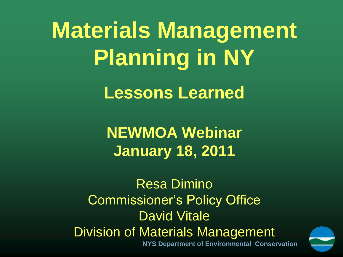**Materials Management Planning in NY Lessons Learned**

> **NEWMOA Webinar January 18, 2011**

**NYS Department of Environmental Conservation** Resa Dimino Commissioner's Policy Office David Vitale Division of Materials Management

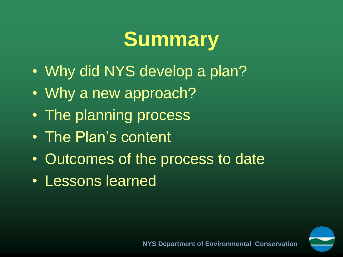## **Summary**

- Why did NYS develop a plan?
- Why a new approach?
- The planning process
- The Plan's content
- Outcomes of the process to date
- Lessons learned

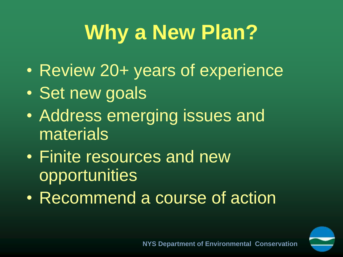# **Why a New Plan?**

- Review 20+ years of experience
- Set new goals
- Address emerging issues and materials
- Finite resources and new opportunities
- Recommend a course of action

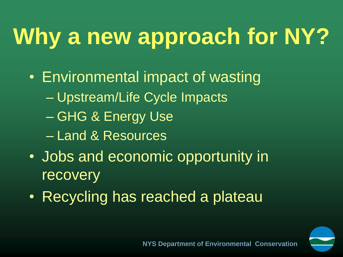# **Why a new approach for NY?**

- Environmental impact of wasting
	- Upstream/Life Cycle Impacts
	- GHG & Energy Use
	- Land & Resources
- Jobs and economic opportunity in recovery
- Recycling has reached a plateau

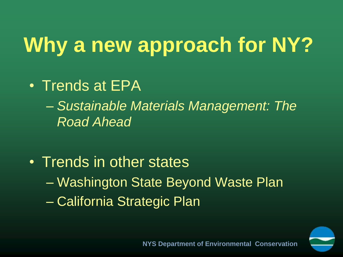# **Why a new approach for NY?**

- Trends at EPA
	- *Sustainable Materials Management: The Road Ahead*
- Trends in other states
	- Washington State Beyond Waste Plan
	- California Strategic Plan

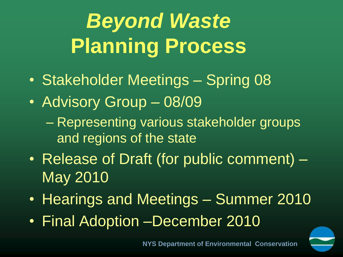# *Beyond Waste*  **Planning Process**

- Stakeholder Meetings Spring 08
- Advisory Group 08/09
	- Representing various stakeholder groups and regions of the state
- Release of Draft (for public comment) May 2010
- Hearings and Meetings Summer 2010
- Final Adoption –December 2010

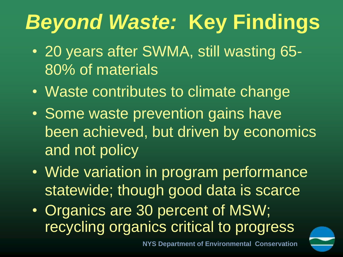# *Beyond Waste:* **Key Findings**

- 20 years after SWMA, still wasting 65- 80% of materials
- Waste contributes to climate change
- Some waste prevention gains have been achieved, but driven by economics and not policy
- Wide variation in program performance statewide; though good data is scarce
- Organics are 30 percent of MSW; recycling organics critical to progress

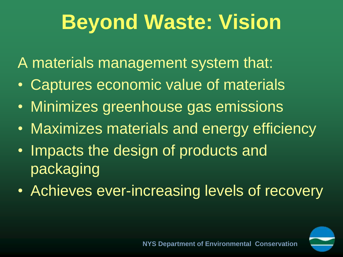## **Beyond Waste: Vision**

A materials management system that:

- **Captures economic value of materials**
- Minimizes greenhouse gas emissions
- Maximizes materials and energy efficiency
- Impacts the design of products and packaging
- Achieves ever-increasing levels of recovery

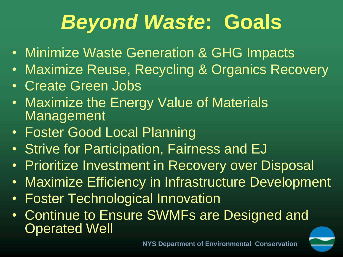## *Beyond Waste***: Goals**

- Minimize Waste Generation & GHG Impacts
- Maximize Reuse, Recycling & Organics Recovery
- Create Green Jobs
- Maximize the Energy Value of Materials **Management**
- Foster Good Local Planning
- Strive for Participation, Fairness and EJ
- Prioritize Investment in Recovery over Disposal
- Maximize Efficiency in Infrastructure Development
- Foster Technological Innovation
- Continue to Ensure SWMFs are Designed and Operated Well

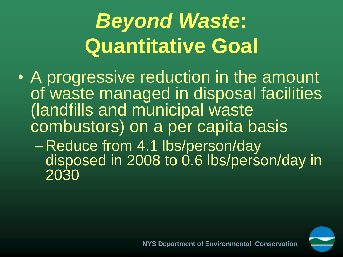# *Beyond Waste***: Quantitative Goal**

- A progressive reduction in the amount of waste managed in disposal facilities (landfills and municipal waste combustors) on a per capita basis
	- Reduce from 4.1 lbs/person/day disposed in 2008 to 0.6 lbs/person/day in 2030

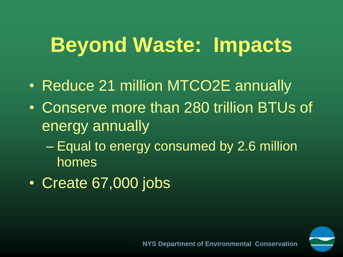## **Beyond Waste: Impacts**

- Reduce 21 million MTCO2E annually
- Conserve more than 280 trillion BTUs of energy annually
	- Equal to energy consumed by 2.6 million homes
- Create 67,000 jobs

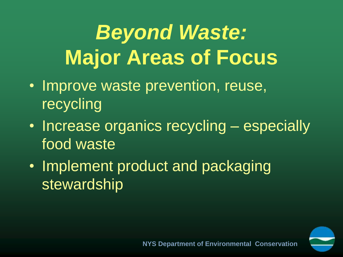# *Beyond Waste:* **Major Areas of Focus**

- Improve waste prevention, reuse, recycling
- Increase organics recycling especially food waste
- Implement product and packaging stewardship

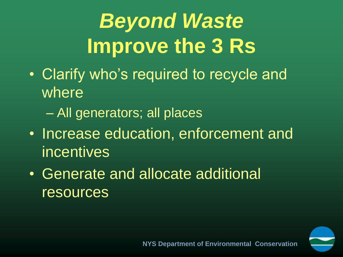# *Beyond Waste* **Improve the 3 Rs**

- Clarify who's required to recycle and where
	- All generators; all places
- Increase education, enforcement and incentives
- Generate and allocate additional resources

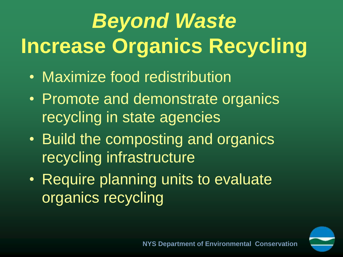# *Beyond Waste* **Increase Organics Recycling**

- Maximize food redistribution
- Promote and demonstrate organics recycling in state agencies
- Build the composting and organics recycling infrastructure
- Require planning units to evaluate organics recycling

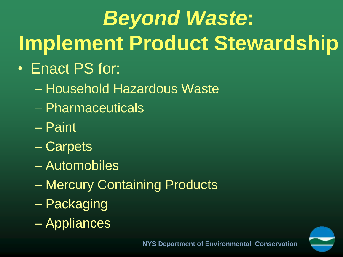# *Beyond Waste***: Implement Product Stewardship**

- Enact PS for:
	- Household Hazardous Waste
	- Pharmaceuticals
	- Paint
	- Carpets
	- Automobiles
	- Mercury Containing Products
	- Packaging
	- Appliances

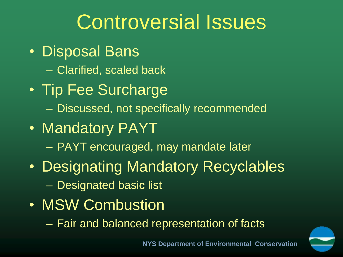## Controversial Issues

- Disposal Bans
	- Clarified, scaled back
- Tip Fee Surcharge – Discussed, not specifically recommended
- Mandatory PAYT
	- PAYT encouraged, may mandate later
- Designating Mandatory Recyclables – Designated basic list
- MSW Combustion
	- Fair and balanced representation of facts

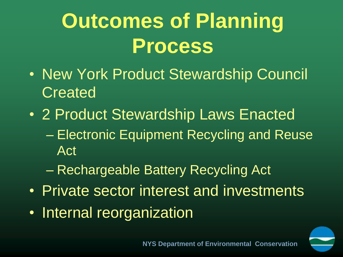# **Outcomes of Planning Process**

- New York Product Stewardship Council **Created**
- 2 Product Stewardship Laws Enacted – Electronic Equipment Recycling and Reuse Act
	- Rechargeable Battery Recycling Act
- Private sector interest and investments
- Internal reorganization

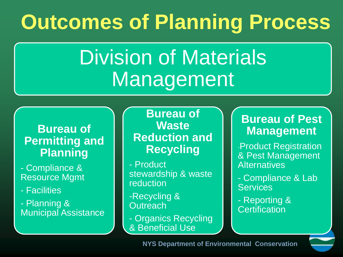## **Outcomes of Planning Process**

## Division of Materials Management

#### **Bureau of Permitting and Planning**

- Compliance & Resource Mgmt

- Facilities

- Planning & Municipal Assistance

**Bureau of Waste Reduction and Recycling**

- Product stewardship & waste reduction

-Recycling & **Outreach** 

- Organics Recycling & Beneficial Use

#### **Bureau of Pest Management**

-Product Registration & Pest Management **Alternatives** 

- Compliance & Lab **Services** 

- Reporting & **Certification**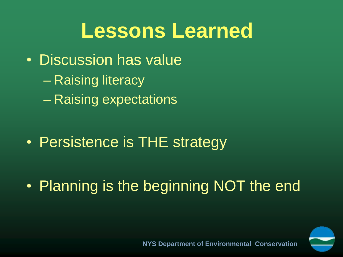### **Lessons Learned**

- Discussion has value
	- Raising literacy
	- Raising expectations

• Persistence is THE strategy

• Planning is the beginning NOT the end